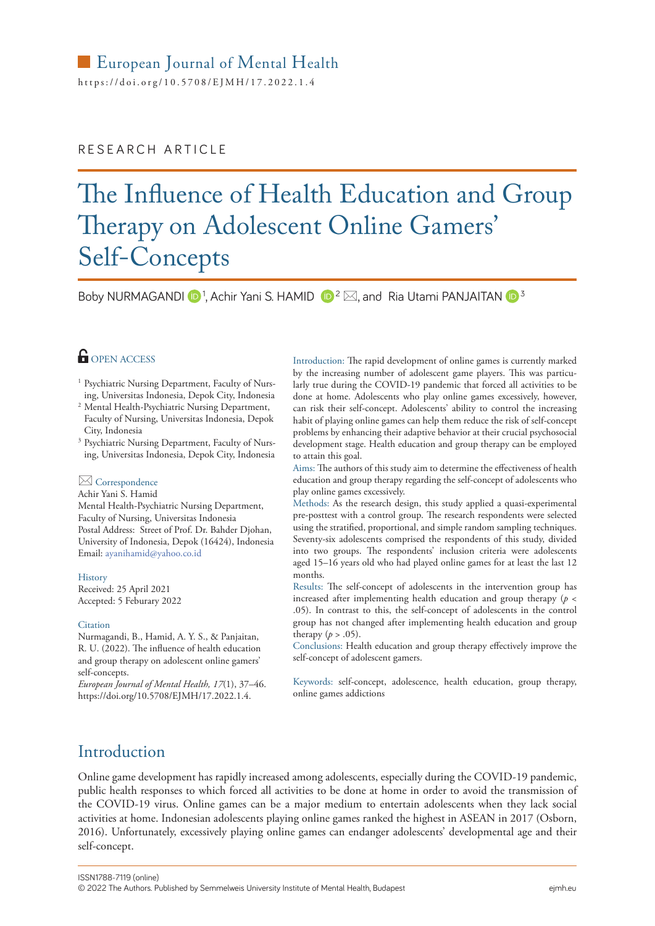### European Journal of Mental Health

https://[doi.org/10.5708/EJMH](https://doi.org/10.5708/EJMH/17.2022.1.4)/17.2022.1.4

### RESEARCH ARTICLE

# The Influence of Health Education and Group Therapy on Adolescent Online Gamers' Self-Concepts

Boby NURMAGANDI  $\mathbf{D}^1$ , Achir Yani S. HAMID  $\mathbf{D}^2 \boxtimes$ , and Ria Utami PANJAITAN  $\mathbf{D}^3$ 

### **OPEN ACCESS**

- <sup>1</sup> Psychiatric Nursing Department, Faculty of Nursing, Universitas Indonesia, Depok City, Indonesia
- <sup>2</sup> Mental Health-Psychiatric Nursing Department, Faculty of Nursing, Universitas Indonesia, Depok City, Indonesia
- <sup>3</sup> Psychiatric Nursing Department, Faculty of Nursing, Universitas Indonesia, Depok City, Indonesia

### **⊠** Correspondence

Achir Yani S. Hamid

Mental Health-Psychiatric Nursing Department, Faculty of Nursing, Universitas Indonesia Postal Address: Street of Prof. Dr. Bahder Djohan, University of Indonesia, Depok (16424), Indonesia Email: [ayanihamid@yahoo.co.id](mailto:ayanihamid@yahoo.co.id)

History Received: 25 April 2021

Accepted: 5 Feburary 2022

#### **Citation**

Nurmagandi, B., Hamid, A. Y. S., & Panjaitan, R. U. (2022). The influence of health education and group therapy on adolescent online gamers' self-concepts.

*European Journal of Mental Health, 17*(1), 37–46. https://[doi.org/10.5708/EJMH](https: //doi.org/10.5708/EJMH/17.2022.4.)/17.2022.1.4.

Introduction: The rapid development of online games is currently marked by the increasing number of adolescent game players. This was particularly true during the COVID-19 pandemic that forced all activities to be done at home. Adolescents who play online games excessively, however, can risk their self-concept. Adolescents' ability to control the increasing habit of playing online games can help them reduce the risk of self-concept problems by enhancing their adaptive behavior at their crucial psychosocial development stage. Health education and group therapy can be employed to attain this goal.

Aims: The authors of this study aim to determine the effectiveness of health education and group therapy regarding the self-concept of adolescents who play online games excessively.

Methods: As the research design, this study applied a quasi-experimental pre-posttest with a control group. The research respondents were selected using the stratified, proportional, and simple random sampling techniques. Seventy-six adolescents comprised the respondents of this study, divided into two groups. The respondents' inclusion criteria were adolescents aged 15–16 years old who had played online games for at least the last 12 months.

Results: The self-concept of adolescents in the intervention group has increased after implementing health education and group therapy ( $p <$ .05). In contrast to this, the self-concept of adolescents in the control group has not changed after implementing health education and group therapy  $(p > .05)$ .

Conclusions: Health education and group therapy effectively improve the self-concept of adolescent gamers.

Keywords: self-concept, adolescence, health education, group therapy, online games addictions

# Introduction

Online game development has rapidly increased among adolescents, especially during the COVID-19 pandemic, public health responses to which forced all activities to be done at home in order to avoid the transmission of the COVID-19 virus. Online games can be a major medium to entertain adolescents when they lack social activities at home. Indonesian adolescents playing online games ranked the highest in ASEAN in 2017 (Osborn, 2016). Unfortunately, excessively playing online games can endanger adolescents' developmental age and their self-concept.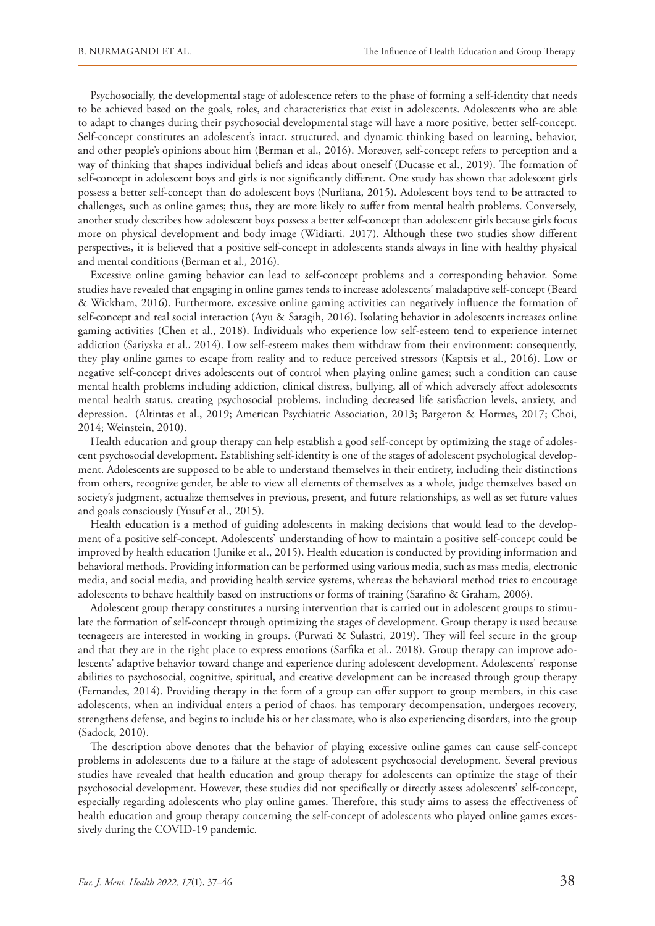Psychosocially, the developmental stage of adolescence refers to the phase of forming a self-identity that needs to be achieved based on the goals, roles, and characteristics that exist in adolescents. Adolescents who are able to adapt to changes during their psychosocial developmental stage will have a more positive, better self-concept. Self-concept constitutes an adolescent's intact, structured, and dynamic thinking based on learning, behavior, and other people's opinions about him (Berman et al., 2016). Moreover, self-concept refers to perception and a way of thinking that shapes individual beliefs and ideas about oneself (Ducasse et al., 2019). The formation of self-concept in adolescent boys and girls is not significantly different. One study has shown that adolescent girls possess a better self-concept than do adolescent boys (Nurliana, 2015). Adolescent boys tend to be attracted to challenges, such as online games; thus, they are more likely to suffer from mental health problems. Conversely, another study describes how adolescent boys possess a better self-concept than adolescent girls because girls focus more on physical development and body image (Widiarti, 2017). Although these two studies show different perspectives, it is believed that a positive self-concept in adolescents stands always in line with healthy physical and mental conditions (Berman et al., 2016).

Excessive online gaming behavior can lead to self-concept problems and a corresponding behavior. Some studies have revealed that engaging in online games tends to increase adolescents' maladaptive self-concept (Beard & Wickham, 2016). Furthermore, excessive online gaming activities can negatively influence the formation of self-concept and real social interaction (Ayu & Saragih, 2016). Isolating behavior in adolescents increases online gaming activities (Chen et al., 2018). Individuals who experience low self-esteem tend to experience internet addiction (Sariyska et al., 2014). Low self-esteem makes them withdraw from their environment; consequently, they play online games to escape from reality and to reduce perceived stressors (Kaptsis et al., 2016). Low or negative self-concept drives adolescents out of control when playing online games; such a condition can cause mental health problems including addiction, clinical distress, bullying, all of which adversely affect adolescents mental health status, creating psychosocial problems, including decreased life satisfaction levels, anxiety, and depression. (Altintas et al., 2019; American Psychiatric Association, 2013; Bargeron & Hormes, 2017; Choi, 2014; Weinstein, 2010).

Health education and group therapy can help establish a good self-concept by optimizing the stage of adolescent psychosocial development. Establishing self-identity is one of the stages of adolescent psychological development. Adolescents are supposed to be able to understand themselves in their entirety, including their distinctions from others, recognize gender, be able to view all elements of themselves as a whole, judge themselves based on society's judgment, actualize themselves in previous, present, and future relationships, as well as set future values and goals consciously (Yusuf et al., 2015).

Health education is a method of guiding adolescents in making decisions that would lead to the development of a positive self-concept. Adolescents' understanding of how to maintain a positive self-concept could be improved by health education (Junike et al., 2015). Health education is conducted by providing information and behavioral methods. Providing information can be performed using various media, such as mass media, electronic media, and social media, and providing health service systems, whereas the behavioral method tries to encourage adolescents to behave healthily based on instructions or forms of training (Sarafino & Graham, 2006).

Adolescent group therapy constitutes a nursing intervention that is carried out in adolescent groups to stimulate the formation of self-concept through optimizing the stages of development. Group therapy is used because teenageers are interested in working in groups. (Purwati & Sulastri, 2019). They will feel secure in the group and that they are in the right place to express emotions (Sarfika et al., 2018). Group therapy can improve adolescents' adaptive behavior toward change and experience during adolescent development. Adolescents' response abilities to psychosocial, cognitive, spiritual, and creative development can be increased through group therapy (Fernandes, 2014). Providing therapy in the form of a group can offer support to group members, in this case adolescents, when an individual enters a period of chaos, has temporary decompensation, undergoes recovery, strengthens defense, and begins to include his or her classmate, who is also experiencing disorders, into the group (Sadock, 2010).

The description above denotes that the behavior of playing excessive online games can cause self-concept problems in adolescents due to a failure at the stage of adolescent psychosocial development. Several previous studies have revealed that health education and group therapy for adolescents can optimize the stage of their psychosocial development. However, these studies did not specifically or directly assess adolescents' self-concept, especially regarding adolescents who play online games. Therefore, this study aims to assess the effectiveness of health education and group therapy concerning the self-concept of adolescents who played online games excessively during the COVID-19 pandemic.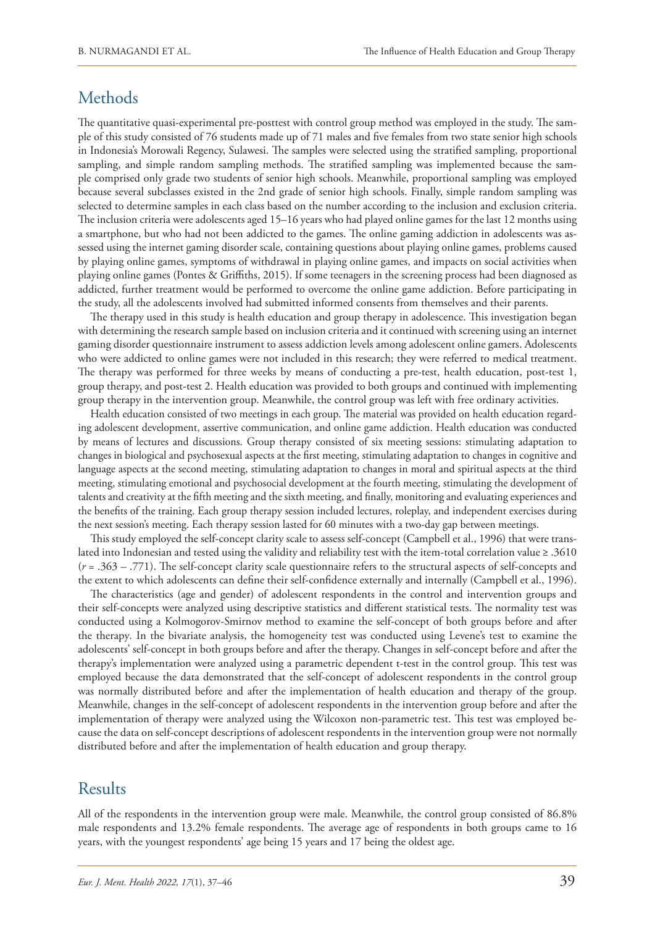## Methods

The quantitative quasi-experimental pre-posttest with control group method was employed in the study. The sample of this study consisted of 76 students made up of 71 males and five females from two state senior high schools in Indonesia's Morowali Regency, Sulawesi. The samples were selected using the stratified sampling, proportional sampling, and simple random sampling methods. The stratified sampling was implemented because the sample comprised only grade two students of senior high schools. Meanwhile, proportional sampling was employed because several subclasses existed in the 2nd grade of senior high schools. Finally, simple random sampling was selected to determine samples in each class based on the number according to the inclusion and exclusion criteria. The inclusion criteria were adolescents aged 15–16 years who had played online games for the last 12 months using a smartphone, but who had not been addicted to the games. The online gaming addiction in adolescents was assessed using the internet gaming disorder scale, containing questions about playing online games, problems caused by playing online games, symptoms of withdrawal in playing online games, and impacts on social activities when playing online games (Pontes & Griffiths, 2015). If some teenagers in the screening process had been diagnosed as addicted, further treatment would be performed to overcome the online game addiction. Before participating in the study, all the adolescents involved had submitted informed consents from themselves and their parents.

The therapy used in this study is health education and group therapy in adolescence. This investigation began with determining the research sample based on inclusion criteria and it continued with screening using an internet gaming disorder questionnaire instrument to assess addiction levels among adolescent online gamers. Adolescents who were addicted to online games were not included in this research; they were referred to medical treatment. The therapy was performed for three weeks by means of conducting a pre-test, health education, post-test 1, group therapy, and post-test 2. Health education was provided to both groups and continued with implementing group therapy in the intervention group. Meanwhile, the control group was left with free ordinary activities.

Health education consisted of two meetings in each group. The material was provided on health education regarding adolescent development, assertive communication, and online game addiction. Health education was conducted by means of lectures and discussions. Group therapy consisted of six meeting sessions: stimulating adaptation to changes in biological and psychosexual aspects at the first meeting, stimulating adaptation to changes in cognitive and language aspects at the second meeting, stimulating adaptation to changes in moral and spiritual aspects at the third meeting, stimulating emotional and psychosocial development at the fourth meeting, stimulating the development of talents and creativity at the fifth meeting and the sixth meeting, and finally, monitoring and evaluating experiences and the benefits of the training. Each group therapy session included lectures, roleplay, and independent exercises during the next session's meeting. Each therapy session lasted for 60 minutes with a two-day gap between meetings.

This study employed the self-concept clarity scale to assess self-concept (Campbell et al., 1996) that were translated into Indonesian and tested using the validity and reliability test with the item-total correlation value ≥ .3610 (*r* = .363 – .771). The self-concept clarity scale questionnaire refers to the structural aspects of self-concepts and the extent to which adolescents can define their self-confidence externally and internally (Campbell et al., 1996).

The characteristics (age and gender) of adolescent respondents in the control and intervention groups and their self-concepts were analyzed using descriptive statistics and different statistical tests. The normality test was conducted using a Kolmogorov-Smirnov method to examine the self-concept of both groups before and after the therapy*.* In the bivariate analysis, the homogeneity test was conducted using Levene's test to examine the adolescents' self-concept in both groups before and after the therapy. Changes in self-concept before and after the therapy's implementation were analyzed using a parametric dependent t-test in the control group. This test was employed because the data demonstrated that the self-concept of adolescent respondents in the control group was normally distributed before and after the implementation of health education and therapy of the group. Meanwhile, changes in the self-concept of adolescent respondents in the intervention group before and after the implementation of therapy were analyzed using the Wilcoxon non-parametric test. This test was employed because the data on self-concept descriptions of adolescent respondents in the intervention group were not normally distributed before and after the implementation of health education and group therapy.

# Results

All of the respondents in the intervention group were male. Meanwhile, the control group consisted of 86.8% male respondents and 13.2% female respondents. The average age of respondents in both groups came to 16 years, with the youngest respondents' age being 15 years and 17 being the oldest age.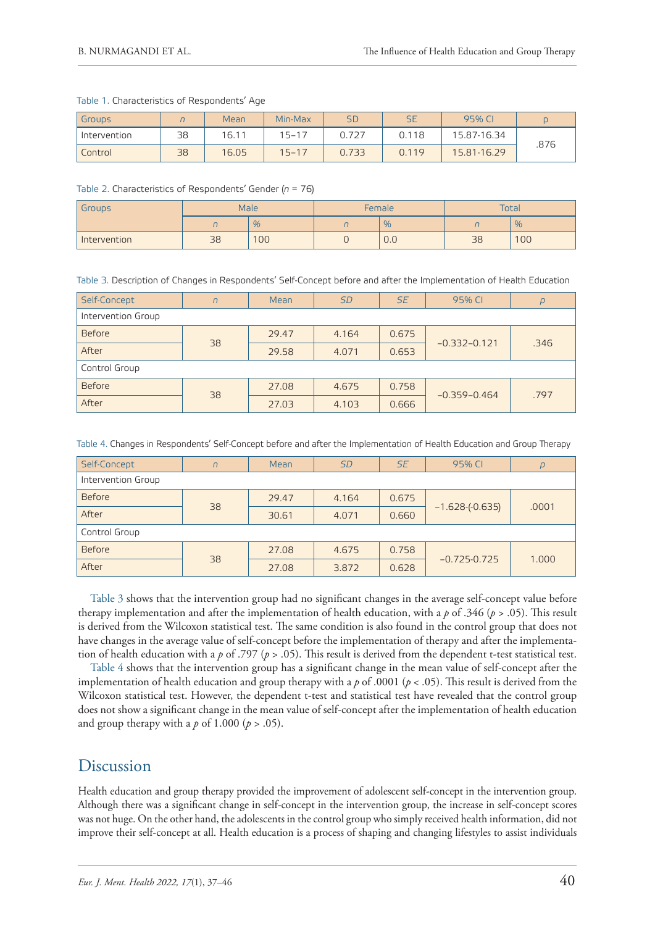#### Table 1. Characteristics of Respondents' Age

| Groups       |    | Mean  | Min-Max   | SD    | SE    | 95% C       |      |
|--------------|----|-------|-----------|-------|-------|-------------|------|
| Intervention | 38 | 16.11 | $15 - 17$ |       | 0.118 | 15.87-16.34 |      |
| Control      | 38 | 16.05 | $15 - 17$ | 0.733 | 0.119 | 15.81-16.29 | .876 |

#### Table 2. Characteristics of Respondents' Gender (*n* = 76)

| Groups       | Male |    |    | Female        | Total |      |
|--------------|------|----|----|---------------|-------|------|
|              |      | %  | ,, | $\frac{9}{6}$ |       | $\%$ |
| Intervention | 38   | 00 |    | $\sim$<br>U.U | 38    | 100  |

Table 3. Description of Changes in Respondents' Self-Concept before and after the Implementation of Health Education

| Self-Concept       | $\sqrt{n}$ | Mean  | <b>SD</b> | <b>SE</b> | 95% CI           | $\overline{p}$ |  |  |
|--------------------|------------|-------|-----------|-----------|------------------|----------------|--|--|
| Intervention Group |            |       |           |           |                  |                |  |  |
| <b>Before</b>      | 38         | 29.47 | 4.164     | 0.675     | $-0.332 - 0.121$ | .346           |  |  |
| After              |            | 29.58 | 4.071     | 0.653     |                  |                |  |  |
| Control Group      |            |       |           |           |                  |                |  |  |
| <b>Before</b>      | 38         | 27.08 | 4.675     | 0.758     | $-0.359 - 0.464$ | .797           |  |  |
| After              |            | 27.03 | 4.103     | 0.666     |                  |                |  |  |

Table 4. Changes in Respondents' Self-Concept before and after the Implementation of Health Education and Group Therapy

| Self-Concept       | $\Gamma$ | Mean  | <b>SD</b> | <b>SE</b> | 95% CI           | $\overline{p}$ |  |  |
|--------------------|----------|-------|-----------|-----------|------------------|----------------|--|--|
| Intervention Group |          |       |           |           |                  |                |  |  |
| <b>Before</b>      |          | 29.47 | 4.164     | 0.675     | $-1.628(-0.635)$ | .0001          |  |  |
| After              | 38       | 30.61 | 4.071     | 0.660     |                  |                |  |  |
| Control Group      |          |       |           |           |                  |                |  |  |
| <b>Before</b>      | 38       | 27.08 | 4.675     | 0.758     | $-0.725 - 0.725$ | 1.000          |  |  |
| After              |          | 27.08 | 3.872     | 0.628     |                  |                |  |  |

Table 3 shows that the intervention group had no significant changes in the average self-concept value before therapy implementation and after the implementation of health education, with a *p* of .346 (*p* > .05). This result is derived from the Wilcoxon statistical test. The same condition is also found in the control group that does not have changes in the average value of self-concept before the implementation of therapy and after the implementation of health education with a *p* of .797 (*p* > .05). This result is derived from the dependent t-test statistical test.

Table 4 shows that the intervention group has a significant change in the mean value of self-concept after the implementation of health education and group therapy with a *p* of .0001 (*p* < .05). This result is derived from the Wilcoxon statistical test. However, the dependent t-test and statistical test have revealed that the control group does not show a significant change in the mean value of self-concept after the implementation of health education and group therapy with a  $p$  of 1.000 ( $p > .05$ ).

### Discussion

Health education and group therapy provided the improvement of adolescent self-concept in the intervention group. Although there was a significant change in self-concept in the intervention group, the increase in self-concept scores was not huge. On the other hand, the adolescents in the control group who simply received health information, did not improve their self-concept at all. Health education is a process of shaping and changing lifestyles to assist individuals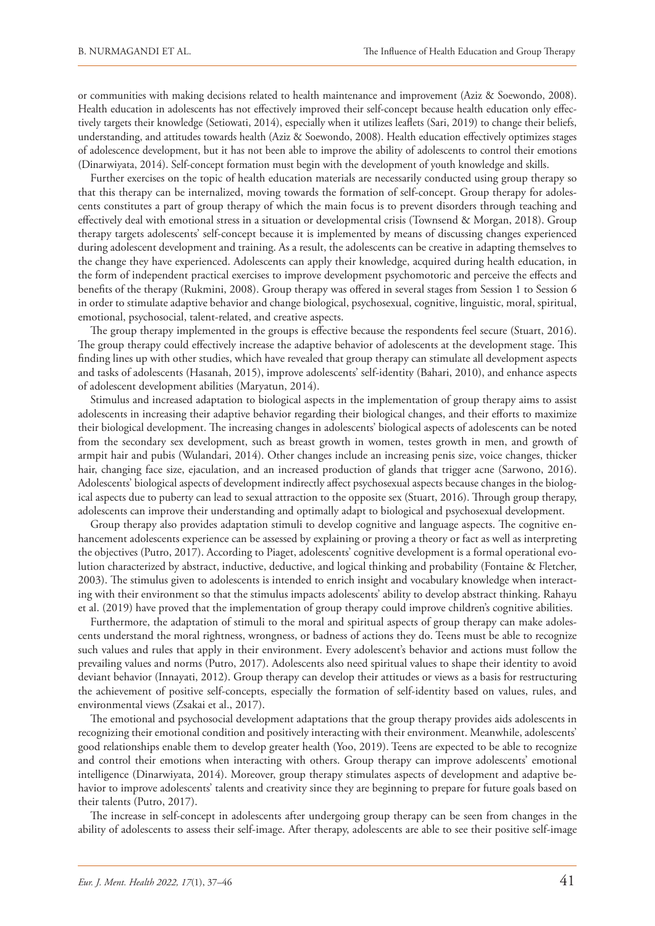or communities with making decisions related to health maintenance and improvement (Aziz & Soewondo, 2008). Health education in adolescents has not effectively improved their self-concept because health education only effectively targets their knowledge (Setiowati, 2014), especially when it utilizes leaflets (Sari, 2019) to change their beliefs, understanding, and attitudes towards health (Aziz & Soewondo, 2008). Health education effectively optimizes stages of adolescence development, but it has not been able to improve the ability of adolescents to control their emotions (Dinarwiyata, 2014). Self-concept formation must begin with the development of youth knowledge and skills.

Further exercises on the topic of health education materials are necessarily conducted using group therapy so that this therapy can be internalized, moving towards the formation of self-concept. Group therapy for adolescents constitutes a part of group therapy of which the main focus is to prevent disorders through teaching and effectively deal with emotional stress in a situation or developmental crisis (Townsend & Morgan, 2018). Group therapy targets adolescents' self-concept because it is implemented by means of discussing changes experienced during adolescent development and training. As a result, the adolescents can be creative in adapting themselves to the change they have experienced. Adolescents can apply their knowledge, acquired during health education, in the form of independent practical exercises to improve development psychomotoric and perceive the effects and benefits of the therapy (Rukmini, 2008). Group therapy was offered in several stages from Session 1 to Session 6 in order to stimulate adaptive behavior and change biological, psychosexual, cognitive, linguistic, moral, spiritual, emotional, psychosocial, talent-related, and creative aspects.

The group therapy implemented in the groups is effective because the respondents feel secure (Stuart, 2016). The group therapy could effectively increase the adaptive behavior of adolescents at the development stage. This finding lines up with other studies, which have revealed that group therapy can stimulate all development aspects and tasks of adolescents (Hasanah, 2015), improve adolescents' self-identity (Bahari, 2010), and enhance aspects of adolescent development abilities (Maryatun, 2014).

Stimulus and increased adaptation to biological aspects in the implementation of group therapy aims to assist adolescents in increasing their adaptive behavior regarding their biological changes, and their efforts to maximize their biological development. The increasing changes in adolescents' biological aspects of adolescents can be noted from the secondary sex development, such as breast growth in women, testes growth in men, and growth of armpit hair and pubis (Wulandari, 2014). Other changes include an increasing penis size, voice changes, thicker hair, changing face size, ejaculation, and an increased production of glands that trigger acne (Sarwono, 2016). Adolescents' biological aspects of development indirectly affect psychosexual aspects because changes in the biological aspects due to puberty can lead to sexual attraction to the opposite sex (Stuart, 2016). Through group therapy, adolescents can improve their understanding and optimally adapt to biological and psychosexual development.

Group therapy also provides adaptation stimuli to develop cognitive and language aspects. The cognitive enhancement adolescents experience can be assessed by explaining or proving a theory or fact as well as interpreting the objectives (Putro, 2017). According to Piaget, adolescents' cognitive development is a formal operational evolution characterized by abstract, inductive, deductive, and logical thinking and probability (Fontaine & Fletcher, 2003). The stimulus given to adolescents is intended to enrich insight and vocabulary knowledge when interacting with their environment so that the stimulus impacts adolescents' ability to develop abstract thinking. Rahayu et al. (2019) have proved that the implementation of group therapy could improve children's cognitive abilities.

Furthermore, the adaptation of stimuli to the moral and spiritual aspects of group therapy can make adolescents understand the moral rightness, wrongness, or badness of actions they do. Teens must be able to recognize such values and rules that apply in their environment. Every adolescent's behavior and actions must follow the prevailing values and norms (Putro, 2017). Adolescents also need spiritual values to shape their identity to avoid deviant behavior (Innayati, 2012). Group therapy can develop their attitudes or views as a basis for restructuring the achievement of positive self-concepts, especially the formation of self-identity based on values, rules, and environmental views (Zsakai et al., 2017).

The emotional and psychosocial development adaptations that the group therapy provides aids adolescents in recognizing their emotional condition and positively interacting with their environment. Meanwhile, adolescents' good relationships enable them to develop greater health (Yoo, 2019). Teens are expected to be able to recognize and control their emotions when interacting with others. Group therapy can improve adolescents' emotional intelligence (Dinarwiyata, 2014). Moreover, group therapy stimulates aspects of development and adaptive behavior to improve adolescents' talents and creativity since they are beginning to prepare for future goals based on their talents (Putro, 2017).

The increase in self-concept in adolescents after undergoing group therapy can be seen from changes in the ability of adolescents to assess their self-image. After therapy, adolescents are able to see their positive self-image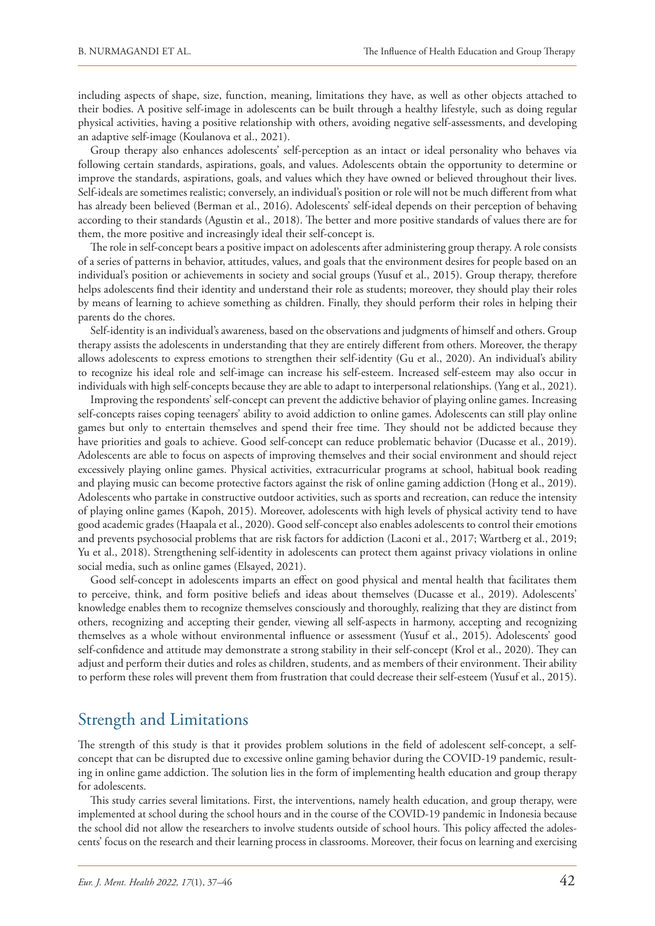including aspects of shape, size, function, meaning, limitations they have, as well as other objects attached to their bodies. A positive self-image in adolescents can be built through a healthy lifestyle, such as doing regular physical activities, having a positive relationship with others, avoiding negative self-assessments, and developing an adaptive self-image (Koulanova et al., 2021).

Group therapy also enhances adolescents' self-perception as an intact or ideal personality who behaves via following certain standards, aspirations, goals, and values. Adolescents obtain the opportunity to determine or improve the standards, aspirations, goals, and values which they have owned or believed throughout their lives. Self-ideals are sometimes realistic; conversely, an individual's position or role will not be much different from what has already been believed (Berman et al., 2016). Adolescents' self-ideal depends on their perception of behaving according to their standards (Agustin et al., 2018). The better and more positive standards of values there are for them, the more positive and increasingly ideal their self-concept is.

The role in self-concept bears a positive impact on adolescents after administering group therapy. A role consists of a series of patterns in behavior, attitudes, values, and goals that the environment desires for people based on an individual's position or achievements in society and social groups (Yusuf et al., 2015). Group therapy, therefore helps adolescents find their identity and understand their role as students; moreover, they should play their roles by means of learning to achieve something as children. Finally, they should perform their roles in helping their parents do the chores.

Self-identity is an individual's awareness, based on the observations and judgments of himself and others. Group therapy assists the adolescents in understanding that they are entirely different from others. Moreover, the therapy allows adolescents to express emotions to strengthen their self-identity (Gu et al., 2020). An individual's ability to recognize his ideal role and self-image can increase his self-esteem. Increased self-esteem may also occur in individuals with high self-concepts because they are able to adapt to interpersonal relationships. (Yang et al., 2021).

Improving the respondents' self-concept can prevent the addictive behavior of playing online games. Increasing self-concepts raises coping teenagers' ability to avoid addiction to online games. Adolescents can still play online games but only to entertain themselves and spend their free time. They should not be addicted because they have priorities and goals to achieve. Good self-concept can reduce problematic behavior (Ducasse et al., 2019). Adolescents are able to focus on aspects of improving themselves and their social environment and should reject excessively playing online games. Physical activities, extracurricular programs at school, habitual book reading and playing music can become protective factors against the risk of online gaming addiction (Hong et al., 2019). Adolescents who partake in constructive outdoor activities, such as sports and recreation, can reduce the intensity of playing online games (Kapoh, 2015). Moreover, adolescents with high levels of physical activity tend to have good academic grades (Haapala et al., 2020). Good self-concept also enables adolescents to control their emotions and prevents psychosocial problems that are risk factors for addiction (Laconi et al., 2017; Wartberg et al., 2019; Yu et al., 2018). Strengthening self-identity in adolescents can protect them against privacy violations in online social media, such as online games (Elsayed, 2021).

Good self-concept in adolescents imparts an effect on good physical and mental health that facilitates them to perceive, think, and form positive beliefs and ideas about themselves (Ducasse et al., 2019). Adolescents' knowledge enables them to recognize themselves consciously and thoroughly, realizing that they are distinct from others, recognizing and accepting their gender, viewing all self-aspects in harmony, accepting and recognizing themselves as a whole without environmental influence or assessment (Yusuf et al., 2015). Adolescents' good self-confidence and attitude may demonstrate a strong stability in their self-concept (Krol et al., 2020). They can adjust and perform their duties and roles as children, students, and as members of their environment. Their ability to perform these roles will prevent them from frustration that could decrease their self-esteem (Yusuf et al., 2015).

### Strength and Limitations

The strength of this study is that it provides problem solutions in the field of adolescent self-concept, a selfconcept that can be disrupted due to excessive online gaming behavior during the COVID-19 pandemic, resulting in online game addiction. The solution lies in the form of implementing health education and group therapy for adolescents.

This study carries several limitations. First, the interventions, namely health education, and group therapy, were implemented at school during the school hours and in the course of the COVID-19 pandemic in Indonesia because the school did not allow the researchers to involve students outside of school hours. This policy affected the adolescents' focus on the research and their learning process in classrooms. Moreover, their focus on learning and exercising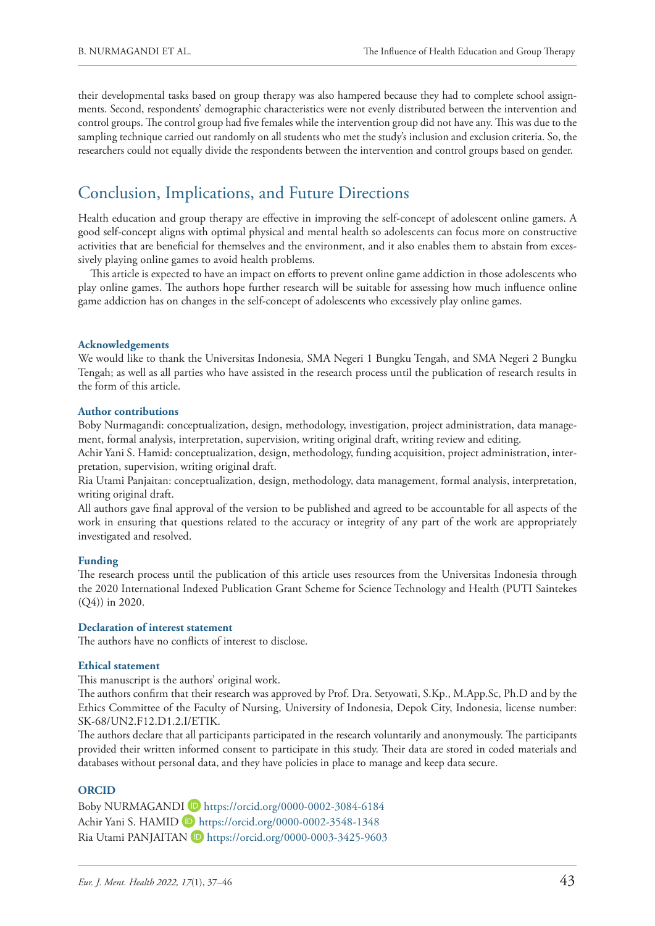their developmental tasks based on group therapy was also hampered because they had to complete school assignments. Second, respondents' demographic characteristics were not evenly distributed between the intervention and control groups. The control group had five females while the intervention group did not have any. This was due to the sampling technique carried out randomly on all students who met the study's inclusion and exclusion criteria. So, the researchers could not equally divide the respondents between the intervention and control groups based on gender.

# Conclusion, Implications, and Future Directions

Health education and group therapy are effective in improving the self-concept of adolescent online gamers. A good self-concept aligns with optimal physical and mental health so adolescents can focus more on constructive activities that are beneficial for themselves and the environment, and it also enables them to abstain from excessively playing online games to avoid health problems.

This article is expected to have an impact on efforts to prevent online game addiction in those adolescents who play online games. The authors hope further research will be suitable for assessing how much influence online game addiction has on changes in the self-concept of adolescents who excessively play online games.

#### **Acknowledgements**

We would like to thank the Universitas Indonesia, SMA Negeri 1 Bungku Tengah, and SMA Negeri 2 Bungku Tengah; as well as all parties who have assisted in the research process until the publication of research results in the form of this article.

#### **Author contributions**

Boby Nurmagandi: conceptualization, design, methodology, investigation, project administration, data management, formal analysis, interpretation, supervision, writing original draft, writing review and editing.

Achir Yani S. Hamid: conceptualization, design, methodology, funding acquisition, project administration, interpretation, supervision, writing original draft.

Ria Utami Panjaitan: conceptualization, design, methodology, data management, formal analysis, interpretation, writing original draft.

All authors gave final approval of the version to be published and agreed to be accountable for all aspects of the work in ensuring that questions related to the accuracy or integrity of any part of the work are appropriately investigated and resolved.

### **Funding**

The research process until the publication of this article uses resources from the Universitas Indonesia through the 2020 International Indexed Publication Grant Scheme for Science Technology and Health (PUTI Saintekes (Q4)) in 2020.

### **Declaration of interest statement**

The authors have no conflicts of interest to disclose.

#### **Ethical statement**

This manuscript is the authors' original work.

The authors confirm that their research was approved by Prof. Dra. Setyowati,<S.Kp>.,<M.App.Sc>, Ph.D and by the Ethics Committee of the Faculty of Nursing, University of Indonesia, Depok City, Indonesia, license number: SK-68[/UN2.F12.D1.2.I/ETIK.](UN2.F12.D1.2.I/ETIK)

The authors declare that all participants participated in the research voluntarily and anonymously. The participants provided their written informed consent to participate in this study. Their data are stored in coded materials and databases without personal data, and they have policies in place to manage and keep data secure.

### **ORCID**

Boby NURMAGANDI<sup>D</sup> <https://orcid.org/0000-0002-3084-6184> Achir Yani S. HAMID D <https://orcid.org/0000-0002-3548-1348> Ria Utami PANJAITAN D <https://orcid.org/0000-0003-3425-9603>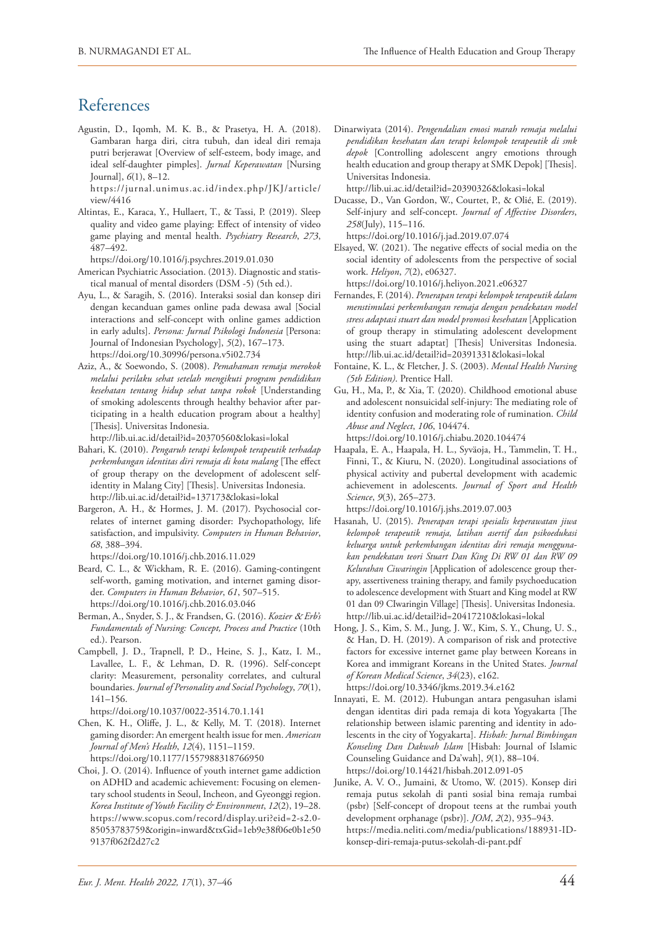### **References**

Agustin, D., Iqomh, M. K. B., & Prasetya, H. A. (2018). Gambaran harga diri, citra tubuh, dan ideal diri remaja putri berjerawat [Overview of self-esteem, body image, and ideal self-daughter pimples]. *Jurnal Keperawatan* [Nursing Journal], *6*(1), 8–12.

[https://jurnal.unimus.ac.id/index.php/JKJ/article/](https://jurnal.unimus.ac.id/index.php/JKJ/article/view/4416) [view/4416](https://jurnal.unimus.ac.id/index.php/JKJ/article/view/4416)

Altintas, E., Karaca, Y., Hullaert, T., & Tassi, P. (2019). Sleep quality and video game playing: Effect of intensity of video game playing and mental health. *Psychiatry Research*, *273*, 487–492.

<https://doi.org/10.1016/j.psychres.2019.01.030>

- American Psychiatric Association. (2013). Diagnostic and statistical manual of mental disorders (DSM -5) (5th ed.).
- Ayu, L., & Saragih, S. (2016). Interaksi sosial dan konsep diri dengan kecanduan games online pada dewasa awal [Social interactions and self-concept with online games addiction in early adults]. *Persona: Jurnal Psikologi Indonesia* [Persona: Journal of Indonesian Psychology], *5*(2), 167–173. <https://doi.org/10.30996/persona.v5i02.734>
- Aziz, A., & Soewondo, S. (2008). *Pemahaman remaja merokok melalui perilaku sehat setelah mengikuti program pendidikan kesehatan tentang hidup sehat tanpa rokok* [Understanding of smoking adolescents through healthy behavior after participating in a health education program about a healthy] [Thesis]. Universitas Indonesia.

<http://lib.ui.ac.id/detail?id=20370560&lokasi=lokal>

- Bahari, K. (2010). *Pengaruh terapi kelompok terapeutik terhadap perkembangan identitas diri remaja di kota malang* [The effect of group therapy on the development of adolescent selfidentity in Malang City] [Thesis]. Universitas Indonesia. <http://lib.ui.ac.id/detail?id=137173&lokasi=lokal>
- Bargeron, A. H., & Hormes, J. M. (2017). Psychosocial correlates of internet gaming disorder: Psychopathology, life satisfaction, and impulsivity. *Computers in Human Behavior*, *68*, 388–394.

<https://doi.org/10.1016/j.chb.2016.11.029>

- Beard, C. L., & Wickham, R. E. (2016). Gaming-contingent self-worth, gaming motivation, and internet gaming disorder. *Computers in Human Behavior*, *61*, 507–515. <https://doi.org/10.1016/j.chb.2016.03.046>
- Berman, A., Snyder, S. J., & Frandsen, G. (2016). *Kozier* & *Erb's Fundamentals of Nursing: Concept, Process and Practice* (10th ed.). Pearson.
- Campbell, J. D., Trapnell, P. D., Heine, S. J., Katz, I. M., Lavallee, L. F., & Lehman, D. R. (1996). Self-concept clarity: Measurement, personality correlates, and cultural boundaries. *Journal of Personality and Social Psychology*, *70*(1), 141–156.

<https://doi.org/10.1037/0022-3514.70.1.141>

- Chen, K. H., Oliffe, J. L., & Kelly, M. T. (2018). Internet gaming disorder: An emergent health issue for men. *American Journal of Men's Health*, *12*(4), 1151–1159. <https://doi.org/10.1177/1557988318766950>
- Choi, J. O. (2014). Influence of youth internet game addiction on ADHD and academic achievement: Focusing on elementary school students in Seoul, Incheon, and Gyeonggi region. *Korea Institute of Youth Facility & Environment*, *12*(2), 19–28. [https://www.scopus.com/record/display.uri?eid=2-s2.0-](https://www.scopus.com/record/display.uri?eid=2-s2.0-85053783759&origin=inward&txGid=1eb9e38f06e0b1e509137f062f2d27c2) [85053783759&origin=inward&txGid=1eb9e38f06e0b1e50](https://www.scopus.com/record/display.uri?eid=2-s2.0-85053783759&origin=inward&txGid=1eb9e38f06e0b1e509137f062f2d27c2) [9137f062f2d27c2](https://www.scopus.com/record/display.uri?eid=2-s2.0-85053783759&origin=inward&txGid=1eb9e38f06e0b1e509137f062f2d27c2)

Dinarwiyata (2014). *Pengendalian emosi marah remaja melalui pendidikan kesehatan dan terapi kelompok terapeutik di smk depok* [Controlling adolescent angry emotions through health education and group therapy at SMK Depok] [Thesis]. Universitas Indonesia.

<http://lib.ui.ac.id/detail?id=20390326&lokasi=lokal>

Ducasse, D., Van Gordon, W., Courtet, P., & Olié, E. (2019). Self-injury and self-concept. *Journal of Affective Disorders*, *258*(July), 115–116.

<https://doi.org/10.1016/j.jad.2019.07.074>

Elsayed, W. (2021). The negative effects of social media on the social identity of adolescents from the perspective of social work. *Heliyon*, *7*(2), e06327.

<https://doi.org/10.1016/j.heliyon.2021.e06327>

- Fernandes, F. (2014). *Penerapan terapi kelompok terapeutik dalam menstimulasi perkembangan remaja dengan pendekatan model stress adaptasi stuart dan model promosi kesehatan* [Application of group therapy in stimulating adolescent development using the stuart adaptat] [Thesis] Universitas Indonesia. <http://lib.ui.ac.id/detail?id=20391331&lokasi=lokal>
- Fontaine, K. L., & Fletcher, J. S. (2003). *Mental Health Nursing (5th Edition)*. Prentice Hall.
- Gu, H., Ma, P., & Xia, T. (2020). Childhood emotional abuse and adolescent nonsuicidal self-injury: The mediating role of identity confusion and moderating role of rumination. *Child Abuse and Neglect*, *106*, 104474.

<https://doi.org/10.1016/j.chiabu.2020.104474>

Haapala, E. A., Haapala, H. L., Syväoja, H., Tammelin, T. H., Finni, T., & Kiuru, N. (2020). Longitudinal associations of physical activity and pubertal development with academic achievement in adolescents. *Journal of Sport and Health Science*, *9*(3), 265–273.

<https://doi.org/10.1016/j.jshs.2019.07.003>

- Hasanah, U. (2015). *Penerapan terapi spesialis keperawatan jiwa kelompok terapeutik remaja, latihan asertif dan psikoedukasi keluarga untuk perkembangan identitas diri remaja menggunakan pendekatan teori Stuart Dan King Di RW 01 dan RW 09 Kelurahan Ciwaringin* [Application of adolescence group therapy, assertiveness training therapy, and family psychoeducation to adolescence development with Stuart and King model at RW 01 dan 09 CIwaringin Village] [Thesis]. Universitas Indonesia. <http://lib.ui.ac.id/detail?id=20417210&lokasi=lokal>
- Hong, J. S., Kim, S. M., Jung, J. W., Kim, S. Y., Chung, U. S., & Han, D. H. (2019). A comparison of risk and protective factors for excessive internet game play between Koreans in Korea and immigrant Koreans in the United States. *Journal of Korean Medical Science*, *34*(23), e162. <https://doi.org/10.3346/jkms.2019.34.e162>
- Innayati, E. M. (2012). Hubungan antara pengasuhan islami dengan identitas diri pada remaja di kota Yogyakarta [The relationship between islamic parenting and identity in adolescents in the city of Yogyakarta]. *Hisbah: Jurnal Bimbingan Konseling Dan Dakwah Islam* [Hisbah: Journal of Islamic Counseling Guidance and Da'wah], *9*(1), 88–104. <https://doi.org/10.14421/hisbah.2012.091-05>
- Junike, A. V. O., Jumaini, & Utomo, W. (2015). Konsep diri remaja putus sekolah di panti sosial bina remaja rumbai (psbr) [Self-concept of dropout teens at the rumbai youth development orphanage (psbr)]. *JOM*, *2*(2), 935–943. [https://media.neliti.com/media/publications/188931-ID](https://media.neliti.com/media/publications/188931-ID-konsep-diri-remaja-putus-sekolah-di-pant.pdf)[konsep-diri-remaja-putus-sekolah-di-pant.pdf](https://media.neliti.com/media/publications/188931-ID-konsep-diri-remaja-putus-sekolah-di-pant.pdf)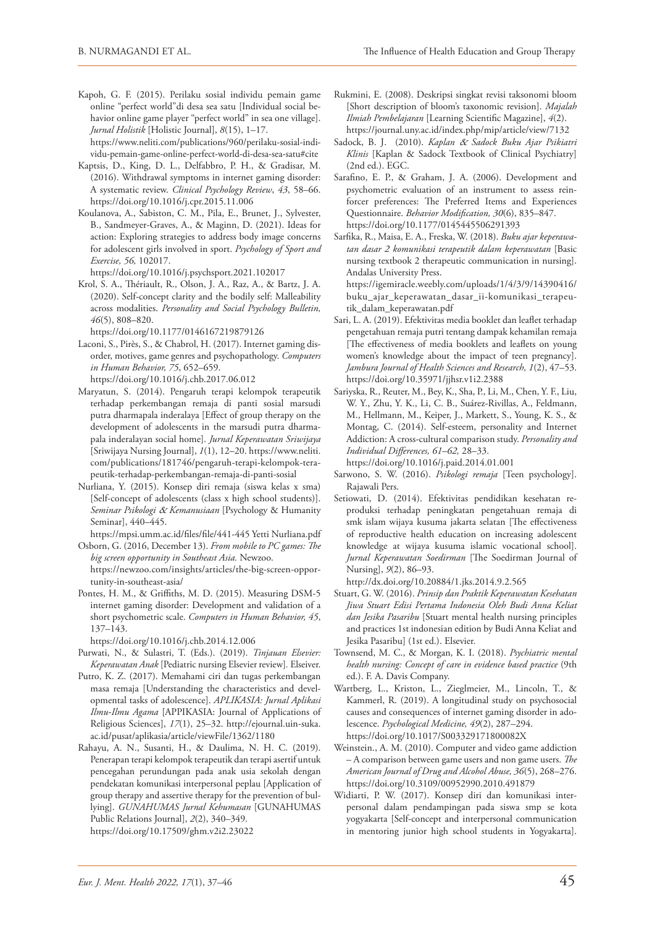Kapoh, G. F. (2015). Perilaku sosial individu pemain game online "perfect world"di desa sea satu [Individual social behavior online game player "perfect world" in sea one village]. *Jurnal Holistik* [Holistic Journal], *8*(15), 1–17.

[https://www.neliti.com/publications/960/perilaku-sosial-indi](https://www.neliti.com/publications/960/perilaku-sosial-individu-pemain-game-online-perfect-world-di-desa-sea-satu%23cite)[vidu-pemain-game-online-perfect-world-di-desa-sea-satu#cite](https://www.neliti.com/publications/960/perilaku-sosial-individu-pemain-game-online-perfect-world-di-desa-sea-satu%23cite)

- Kaptsis, D., King, D. L., Delfabbro, P. H., & Gradisar, M. (2016). Withdrawal symptoms in internet gaming disorder: A systematic review. *Clinical Psychology Review*, *43*, 58–66. <https://doi.org/10.1016/j.cpr.2015.11.006>
- Koulanova, A., Sabiston, C. M., Pila, E., Brunet, J., Sylvester, B., Sandmeyer-Graves, A., & Maginn, D. (2021). Ideas for action: Exploring strategies to address body image concerns for adolescent girls involved in sport. *Psychology of Sport and Exercise, 56,* 102017.

<https://doi.org/10.1016/j.psychsport.2021.102017>

Krol, S. A., Thériault, R., Olson, J. A., Raz, A., & Bartz, J. A. (2020). Self-concept clarity and the bodily self: Malleability across modalities. *Personality and Social Psychology Bulletin, 46*(5), 808–820.

<https://doi.org/10.1177/0146167219879126>

- Laconi, S., Pirès, S., & Chabrol, H. (2017). Internet gaming disorder, motives, game genres and psychopathology. *Computers in Human Behavior, 75*, 652–659. <https://doi.org/10.1016/j.chb.2017.06.012>
- Maryatun, S. (2014). Pengaruh terapi kelompok terapeutik terhadap perkembangan remaja di panti sosial marsudi putra dharmapala inderalaya [Effect of group therapy on the development of adolescents in the marsudi putra dharmapala inderalayan social home]. *Jurnal Keperawatan Sriwijaya* [Sriwijaya Nursing Journal], *1*(1), 12–20. [https://www.neliti.](https://www.neliti.com/publications/181746/pengaruh-terapi-kelompok-terapeutik-terhadap-perkembangan-remaja-di-panti-sosial) [com/publications/181746/pengaruh-terapi-kelompok-tera](https://www.neliti.com/publications/181746/pengaruh-terapi-kelompok-terapeutik-terhadap-perkembangan-remaja-di-panti-sosial)[peutik-terhadap-perkembangan-remaja-di-panti-sosial](https://www.neliti.com/publications/181746/pengaruh-terapi-kelompok-terapeutik-terhadap-perkembangan-remaja-di-panti-sosial)
- Nurliana, Y. (2015). Konsep diri remaja (siswa kelas x sma) [Self-concept of adolescents (class x high school students)]. *Seminar Psikologi* & *Kemanusiaan* [Psychology & Humanity Seminar], 440–445.

[https://mpsi.umm.ac.id/files/file/441-445 Yetti Nurliana.pdf](https://mpsi.umm.ac.id/files/file/441-445%20Yetti%20Nurliana.pdf)

- Osborn, G. (2016, December 13). *From mobile to PC games: The big screen opportunity in Southeast Asia.* Newzoo. [https://newzoo.com/insights/articles/the-big-screen-oppor](https://newzoo.com/insights/articles/the-big-screen-opportunity-in-southeast-asia/)[tunity-in-southeast-asia/](https://newzoo.com/insights/articles/the-big-screen-opportunity-in-southeast-asia/)
- Pontes, H. M., & Griffiths, M. D. (2015). Measuring DSM-5 internet gaming disorder: Development and validation of a short psychometric scale. *Computers in Human Behavior, 45*, 137–143.

<https://doi.org/10.1016/j.chb.2014.12.006>

- Purwati, N., & Sulastri, T. (Eds.). (2019). *Tinjauan Elsevier: Keperawatan Anak* [Pediatric nursing Elsevier review]*.* Elseiver.
- Putro, K. Z. (2017). Memahami ciri dan tugas perkembangan masa remaja [Understanding the characteristics and developmental tasks of adolescence]. *APLIKASIA: Jurnal Aplikasi Ilmu-Ilmu Agama* [APPIKASIA: Journal of Applications of Religious Sciences], *17*(1), 25–32. [http://ejournal.uin-suka.](http://ejournal.uin-suka.ac.id/pusat/aplikasia/article/viewFile/1362/1180) [ac.id/pusat/aplikasia/article/viewFile/1362/1180](http://ejournal.uin-suka.ac.id/pusat/aplikasia/article/viewFile/1362/1180)
- Rahayu, A. N., Susanti, H., & Daulima, N. H. C. (2019). Penerapan terapi kelompok terapeutik dan terapi asertif untuk pencegahan perundungan pada anak usia sekolah dengan pendekatan komunikasi interpersonal peplau [Application of group therapy and assertive therapy for the prevention of bullying]. *GUNAHUMAS Jurnal Kehumasan* [GUNAHUMAS Public Relations Journal], *2*(2), 340–349.

<https://doi.org/10.17509/ghm.v2i2.23022>

- Rukmini, E. (2008). Deskripsi singkat revisi taksonomi bloom [Short description of bloom's taxonomic revision]. *Majalah Ilmiah Pembelajaran* [Learning Scientific Magazine], *4*(2). <https://journal.uny.ac.id/index.php/mip/article/view/7132>
- Sadock, B. J. (2010). *Kaplan* & *Sadock Buku Ajar Psikiatri Klinis* [Kaplan & Sadock Textbook of Clinical Psychiatry] (2nd ed.). EGC.
- Sarafino, E. P., & Graham, J. A. (2006). Development and psychometric evaluation of an instrument to assess reinforcer preferences: The Preferred Items and Experiences Questionnaire. *Behavior Modification, 30*(6), 835–847. <https://doi.org/10.1177/0145445506291393>
- Sarfika, R., Maisa, E. A., Freska, W. (2018). *Buku ajar keperawatan dasar 2 komunikasi terapeutik dalam keperawatan* [Basic nursing textbook 2 therapeutic communication in nursing]. Andalas University Press.

[https://igemiracle.weebly.com/uploads/1/4/3/9/14390416/](https://igemiracle.weebly.com/uploads/1/4/3/9/14390416/buku_ajar_keperawatan_dasar_ii-komunikasi_terapeutik_dalam_keperawatan.pdf) [buku\\_ajar\\_keperawatan\\_dasar\\_ii-komunikasi\\_terapeu](https://igemiracle.weebly.com/uploads/1/4/3/9/14390416/buku_ajar_keperawatan_dasar_ii-komunikasi_terapeutik_dalam_keperawatan.pdf)[tik\\_dalam\\_keperawatan.pdf](https://igemiracle.weebly.com/uploads/1/4/3/9/14390416/buku_ajar_keperawatan_dasar_ii-komunikasi_terapeutik_dalam_keperawatan.pdf)

- Sari, L. A. (2019). Efektivitas media booklet dan leaflet terhadap pengetahuan remaja putri tentang dampak kehamilan remaja [The effectiveness of media booklets and leaflets on young women's knowledge about the impact of teen pregnancy]. *Jambura Journal of Health Sciences and Research, 1*(2), 47–53. <https://doi.org/10.35971/jjhsr.v1i2.2388>
- Sariyska, R., Reuter, M., Bey, K., Sha, P., Li, M., Chen, Y. F., Liu, W. Y., Zhu, Y. K., Li, C. B., Suárez-Rivillas, A., Feldmann, M., Hellmann, M., Keiper, J., Markett, S., Young, K. S., & Montag, C. (2014). Self-esteem, personality and Internet Addiction: A cross-cultural comparison study. *Personality and Individual Differences, 61–62,* 28–33.

<https://doi.org/10.1016/j.paid.2014.01.001>

- Sarwono, S. W. (2016). *Psikologi remaja* [Teen psychology]. Rajawali Pers.
- Setiowati, D. (2014). Efektivitas pendidikan kesehatan reproduksi terhadap peningkatan pengetahuan remaja di smk islam wijaya kusuma jakarta selatan [The effectiveness of reproductive health education on increasing adolescent knowledge at wijaya kusuma islamic vocational school]. *Jurnal Keperawatan Soedirman* [The Soedirman Journal of Nursing], *9*(2), 86–93.

[http://dx.doi.org/10.20884/1.jks.2014.9.2.565](https://doi.org/http:/dx.doi.org/10.20884/1.jks.2014.9.2.565)

- Stuart, G. W. (2016). *Prinsip dan Praktik Keperawatan Kesehatan Jiwa Stuart Edisi Pertama Indonesia Oleh Budi Anna Keliat dan Jesika Pasaribu* [Stuart mental health nursing principles and practices 1st indonesian edition by Budi Anna Keliat and Jesika Pasaribu] (1st ed.). Elsevier.
- Townsend, M. C., & Morgan, K. I. (2018). *Psychiatric mental health nursing: Concept of care in evidence based practice* (9th ed.). F. A. Davis Company.
- Wartberg, L., Kriston, L., Zieglmeier, M., Lincoln, T., & Kammerl, R. (2019). A longitudinal study on psychosocial causes and consequences of internet gaming disorder in adolescence. *Psychological Medicine, 49*(2), 287–294. <https://doi.org/10.1017/S003329171800082X>
- Weinstein., A. M. (2010). Computer and video game addiction – A comparison between game users and non game users. *The American Journal of Drug and Alcohol Abuse, 36*(5), 268–276. <https://doi.org/10.3109/00952990.2010.491879>
- Widiarti, P. W. (2017). Konsep diri dan komunikasi interpersonal dalam pendampingan pada siswa smp se kota yogyakarta [Self-concept and interpersonal communication in mentoring junior high school students in Yogyakarta].